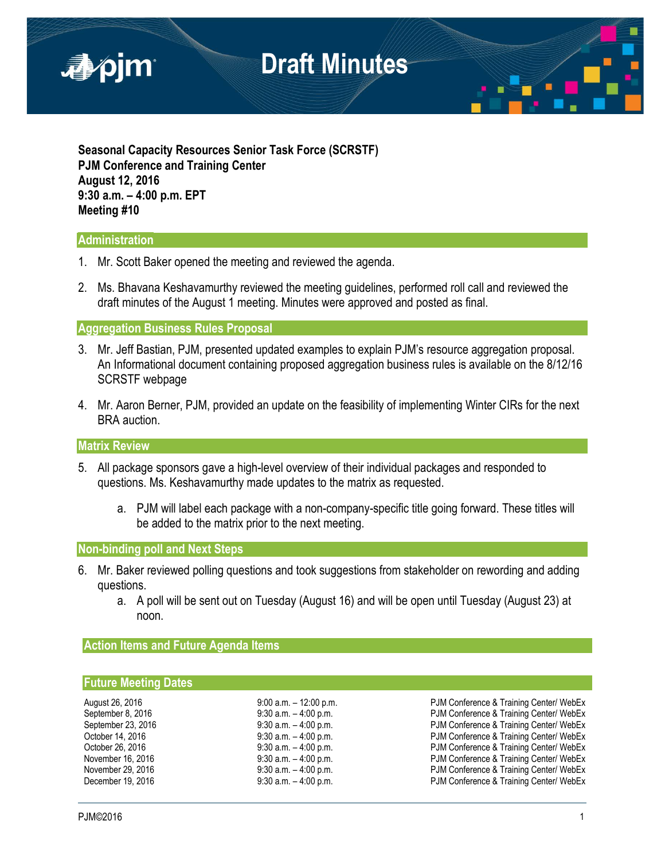

**Seasonal Capacity Resources Senior Task Force (SCRSTF) PJM Conference and Training Center August 12, 2016 9:30 a.m. – 4:00 p.m. EPT Meeting #10**

### **Administration**

- 1. Mr. Scott Baker opened the meeting and reviewed the agenda.
- 2. Ms. Bhavana Keshavamurthy reviewed the meeting guidelines, performed roll call and reviewed the draft minutes of the August 1 meeting. Minutes were approved and posted as final.

### **Aggregation Business Rules Proposal**

- 3. Mr. Jeff Bastian, PJM, presented updated examples to explain PJM's resource aggregation proposal. An Informational document containing proposed aggregation business rules is available on the 8/12/16 SCRSTF webpage
- 4. Mr. Aaron Berner, PJM, provided an update on the feasibility of implementing Winter CIRs for the next BRA auction.

#### **Matrix Review**

- 5. All package sponsors gave a high-level overview of their individual packages and responded to questions. Ms. Keshavamurthy made updates to the matrix as requested.
	- a. PJM will label each package with a non-company-specific title going forward. These titles will be added to the matrix prior to the next meeting.

### **Non-binding poll and Next Steps**

- 6. Mr. Baker reviewed polling questions and took suggestions from stakeholder on rewording and adding questions.
	- a. A poll will be sent out on Tuesday (August 16) and will be open until Tuesday (August 23) at noon.

### **Action Items and Future Agenda Items**

#### **Future Meeting Dates**

| August 26, 2016    |
|--------------------|
| September 8, 2016  |
| September 23, 2016 |
| October 14, 2016   |
| October 26, 2016   |
| November 16, 2016  |
| November 29, 2016  |
| December 19, 2016  |

9:00 a.m. - 12:00 p.m. external public 26 PJM Conference & Training Center/ WebEx 9:30 a.m. – 4:00 p.m. example 8, 2016 PJM Conference & Training Center/ WebEx 9:30 a.m. – 4:00 p.m. example 230 a.m. – 4:00 p.m. 9:30 a.m. – 4:00 p.m. example 30 a.m. – 9:30 a.m. – 4:00 p.m. 9:30 a.m. - 4:00 p.m. example 26 a.m. PJM Conference & Training Center/ WebEx 9:30 a.m. -4:00 p.m. **PJM Conference & Training Center/ WebEx** 9:30 a.m. – 4:00 p.m.<br>9:30 a.m. – 4:00 p.m. PJM Conference & Training Center/ WebEx PJM Conference & Training Center/ WebEx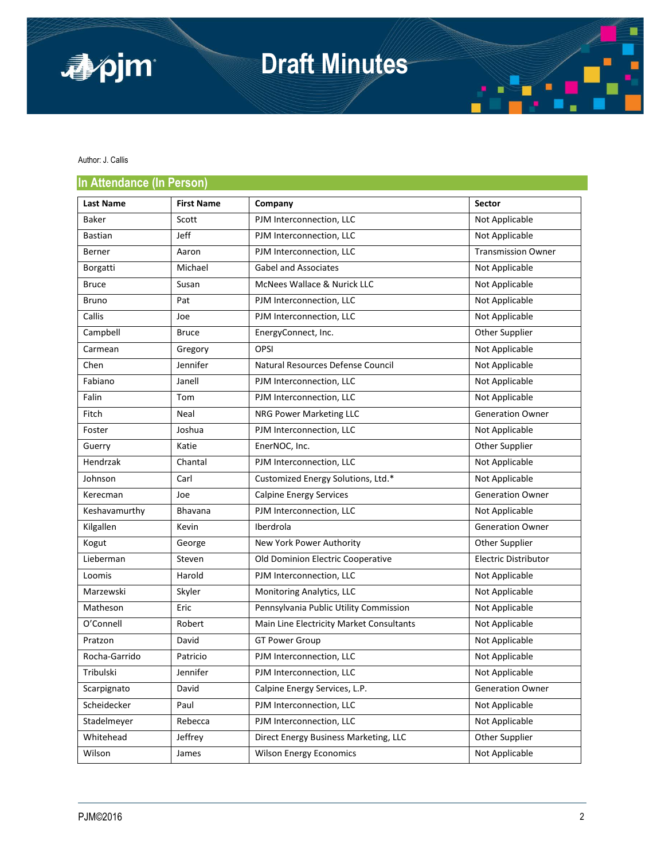

# **Draft Minutes**

Author: J. Callis

### **In Attendance (In Person)**

| <b>III / WWINNING (III LAIDUI)</b> |                   |                                          |                           |
|------------------------------------|-------------------|------------------------------------------|---------------------------|
| <b>Last Name</b>                   | <b>First Name</b> | Company                                  | <b>Sector</b>             |
| Baker                              | Scott             | PJM Interconnection, LLC                 | Not Applicable            |
| <b>Bastian</b>                     | Jeff              | PJM Interconnection, LLC                 | Not Applicable            |
| Berner                             | Aaron             | PJM Interconnection, LLC                 | <b>Transmission Owner</b> |
| Borgatti                           | Michael           | <b>Gabel and Associates</b>              | Not Applicable            |
| <b>Bruce</b>                       | Susan             | McNees Wallace & Nurick LLC              | Not Applicable            |
| <b>Bruno</b>                       | Pat               | PJM Interconnection, LLC                 | Not Applicable            |
| Callis                             | Joe               | PJM Interconnection, LLC                 | Not Applicable            |
| Campbell                           | <b>Bruce</b>      | EnergyConnect, Inc.                      | Other Supplier            |
| Carmean                            | Gregory           | <b>OPSI</b>                              | Not Applicable            |
| Chen                               | Jennifer          | Natural Resources Defense Council        | Not Applicable            |
| Fabiano                            | Janell            | PJM Interconnection, LLC                 | Not Applicable            |
| Falin                              | Tom               | PJM Interconnection, LLC                 | Not Applicable            |
| Fitch                              | Neal              | NRG Power Marketing LLC                  | <b>Generation Owner</b>   |
| Foster                             | Joshua            | PJM Interconnection, LLC                 | Not Applicable            |
| Guerry                             | Katie             | EnerNOC, Inc.                            | Other Supplier            |
| Hendrzak                           | Chantal           | PJM Interconnection, LLC                 | Not Applicable            |
| Johnson                            | Carl              | Customized Energy Solutions, Ltd.*       | Not Applicable            |
| Kerecman                           | Joe               | <b>Calpine Energy Services</b>           | <b>Generation Owner</b>   |
| Keshavamurthy                      | <b>Bhavana</b>    | PJM Interconnection, LLC                 | Not Applicable            |
| Kilgallen                          | Kevin             | Iberdrola                                | <b>Generation Owner</b>   |
| Kogut                              | George            | New York Power Authority                 | Other Supplier            |
| Lieberman                          | Steven            | Old Dominion Electric Cooperative        | Electric Distributor      |
| Loomis                             | Harold            | PJM Interconnection, LLC                 | Not Applicable            |
| Marzewski                          | Skyler            | Monitoring Analytics, LLC                | Not Applicable            |
| Matheson                           | Eric              | Pennsylvania Public Utility Commission   | Not Applicable            |
| O'Connell                          | Robert            | Main Line Electricity Market Consultants | Not Applicable            |
| Pratzon                            | David             | <b>GT Power Group</b>                    | Not Applicable            |
| Rocha-Garrido                      | Patricio          | PJM Interconnection, LLC                 | Not Applicable            |
| Tribulski                          | Jennifer          | PJM Interconnection, LLC                 | Not Applicable            |
| Scarpignato                        | David             | Calpine Energy Services, L.P.            | <b>Generation Owner</b>   |
| Scheidecker                        | Paul              | PJM Interconnection, LLC                 | Not Applicable            |
| Stadelmeyer                        | Rebecca           | PJM Interconnection, LLC                 | Not Applicable            |
| Whitehead                          | Jeffrey           | Direct Energy Business Marketing, LLC    | Other Supplier            |
| Wilson                             | James             | <b>Wilson Energy Economics</b>           | Not Applicable            |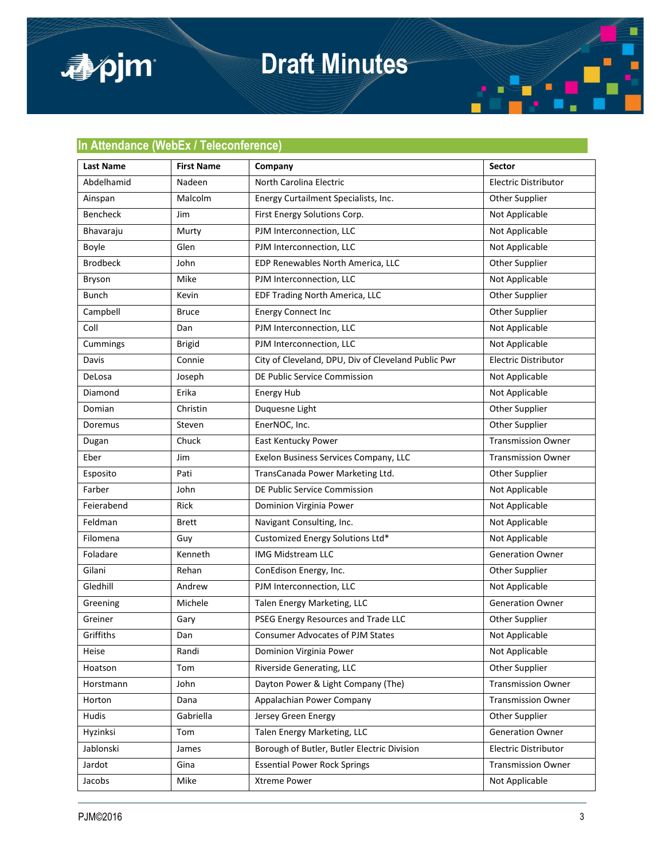

## **Draft Minutes**

### **In Attendance (WebEx / Teleconference)**

| Last Name       | <b>First Name</b> | Company                                             | Sector                      |
|-----------------|-------------------|-----------------------------------------------------|-----------------------------|
| Abdelhamid      | Nadeen            | North Carolina Electric                             | <b>Electric Distributor</b> |
| Ainspan         | Malcolm           | Energy Curtailment Specialists, Inc.                | <b>Other Supplier</b>       |
| Bencheck        | Jim               | First Energy Solutions Corp.                        | Not Applicable              |
| Bhavaraju       | Murty             | PJM Interconnection, LLC                            | Not Applicable              |
| Boyle           | Glen              | PJM Interconnection, LLC                            | Not Applicable              |
| <b>Brodbeck</b> | John              | EDP Renewables North America, LLC                   | Other Supplier              |
| Bryson          | Mike              | PJM Interconnection, LLC                            | Not Applicable              |
| <b>Bunch</b>    | Kevin             | EDF Trading North America, LLC                      | Other Supplier              |
| Campbell        | <b>Bruce</b>      | <b>Energy Connect Inc</b>                           | Other Supplier              |
| Coll            | Dan               | PJM Interconnection, LLC                            | Not Applicable              |
| Cummings        | <b>Brigid</b>     | PJM Interconnection, LLC                            | Not Applicable              |
| Davis           | Connie            | City of Cleveland, DPU, Div of Cleveland Public Pwr | Electric Distributor        |
| DeLosa          | Joseph            | DE Public Service Commission                        | Not Applicable              |
| Diamond         | Erika             | <b>Energy Hub</b>                                   | Not Applicable              |
| Domian          | Christin          | Duquesne Light                                      | Other Supplier              |
| Doremus         | Steven            | EnerNOC, Inc.                                       | Other Supplier              |
| Dugan           | Chuck             | East Kentucky Power                                 | <b>Transmission Owner</b>   |
| Eber            | Jim               | Exelon Business Services Company, LLC               | <b>Transmission Owner</b>   |
| Esposito        | Pati              | TransCanada Power Marketing Ltd.                    | Other Supplier              |
| Farber          | John              | DE Public Service Commission                        | Not Applicable              |
| Feierabend      | Rick              | Dominion Virginia Power                             | Not Applicable              |
| Feldman         | <b>Brett</b>      | Navigant Consulting, Inc.                           | Not Applicable              |
| Filomena        | Guy               | Customized Energy Solutions Ltd*                    | Not Applicable              |
| Foladare        | Kenneth           | <b>IMG Midstream LLC</b>                            | <b>Generation Owner</b>     |
| Gilani          | Rehan             | ConEdison Energy, Inc.                              | Other Supplier              |
| Gledhill        | Andrew            | PJM Interconnection, LLC                            | Not Applicable              |
| Greening        | Michele           | Talen Energy Marketing, LLC                         | <b>Generation Owner</b>     |
| Greiner         | Gary              | PSEG Energy Resources and Trade LLC                 | Other Supplier              |
| Griffiths       | Dan               | <b>Consumer Advocates of PJM States</b>             | Not Applicable              |
| Heise           | Randi             | Dominion Virginia Power                             | Not Applicable              |
| Hoatson         | Tom               | Riverside Generating, LLC                           | Other Supplier              |
| Horstmann       | John              | Dayton Power & Light Company (The)                  | <b>Transmission Owner</b>   |
| Horton          | Dana              | Appalachian Power Company                           | <b>Transmission Owner</b>   |
| Hudis           | Gabriella         | Jersey Green Energy                                 | Other Supplier              |
| Hyzinksi        | Tom               | Talen Energy Marketing, LLC                         | <b>Generation Owner</b>     |
| Jablonski       | James             | Borough of Butler, Butler Electric Division         | <b>Electric Distributor</b> |
| Jardot          | Gina              | <b>Essential Power Rock Springs</b>                 | <b>Transmission Owner</b>   |
| Jacobs          | Mike              | Xtreme Power                                        | Not Applicable              |